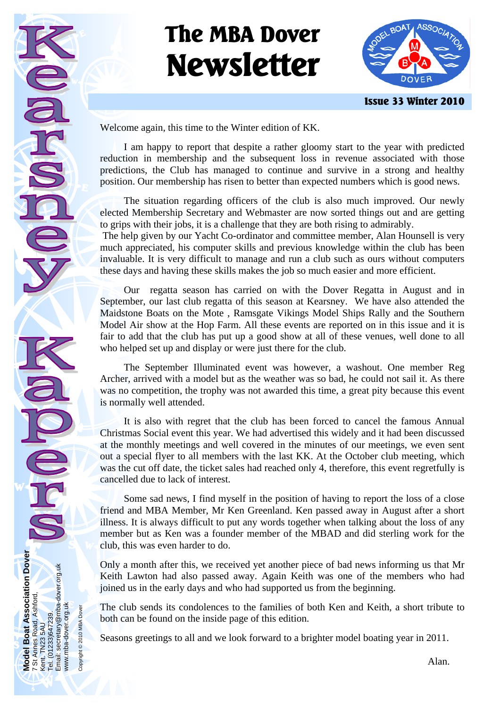# **The MBA Dover Newsletter**



**Issue 33 Winter 2010** 

Welcome again, this time to the Winter edition of KK.

 I am happy to report that despite a rather gloomy start to the year with predicted reduction in membership and the subsequent loss in revenue associated with those predictions, the Club has managed to continue and survive in a strong and healthy position. Our membership has risen to better than expected numbers which is good news.

 The situation regarding officers of the club is also much improved. Our newly elected Membership Secretary and Webmaster are now sorted things out and are getting to grips with their jobs, it is a challenge that they are both rising to admirably.

 The help given by our Yacht Co-ordinator and committee member, Alan Hounsell is very much appreciated, his computer skills and previous knowledge within the club has been invaluable. It is very difficult to manage and run a club such as ours without computers these days and having these skills makes the job so much easier and more efficient.

 Our regatta season has carried on with the Dover Regatta in August and in September, our last club regatta of this season at Kearsney. We have also attended the Maidstone Boats on the Mote , Ramsgate Vikings Model Ships Rally and the Southern Model Air show at the Hop Farm. All these events are reported on in this issue and it is fair to add that the club has put up a good show at all of these venues, well done to all who helped set up and display or were just there for the club.

 The September Illuminated event was however, a washout. One member Reg Archer, arrived with a model but as the weather was so bad, he could not sail it. As there was no competition, the trophy was not awarded this time, a great pity because this event is normally well attended.

 It is also with regret that the club has been forced to cancel the famous Annual Christmas Social event this year. We had advertised this widely and it had been discussed at the monthly meetings and well covered in the minutes of our meetings, we even sent out a special flyer to all members with the last KK. At the October club meeting, which was the cut off date, the ticket sales had reached only 4, therefore, this event regretfully is cancelled due to lack of interest.

 Some sad news, I find myself in the position of having to report the loss of a close friend and MBA Member, Mr Ken Greenland. Ken passed away in August after a short illness. It is always difficult to put any words together when talking about the loss of any member but as Ken was a founder member of the MBAD and did sterling work for the club, this was even harder to do.

Only a month after this, we received yet another piece of bad news informing us that Mr Keith Lawton had also passed away. Again Keith was one of the members who had joined us in the early days and who had supported us from the beginning.

The club sends its condolences to the families of both Ken and Keith, a short tribute to both can be found on the inside page of this edition.

Seasons greetings to all and we look forward to a brighter model boating year in 2011.

**Model Boat Association Dover** 

**Model** 

**Todel Boat Association Dover**<br>St Annes Road, Ashford,

7 St Annes Road, Ashford,

Kent. TN23 5AU Tel. (01233)647239. Email: secretary@mba-dover.org.uk

Tel. (01233)647239.<br>Email: secretary@ml Kent. TN23 5AU

secretary@mba-dover.org.uk

www.mba-dover.org.uk Copyright © 2010 MBA Dover

www.mba-dover.org.uk Copyright © 2010 MBA Dover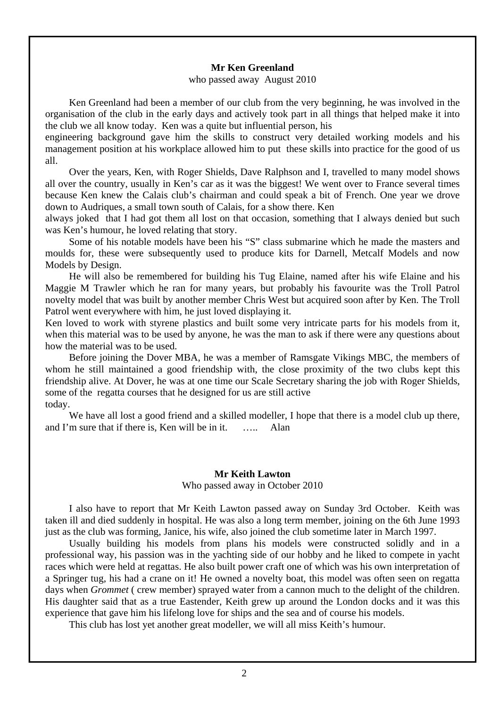#### **Mr Ken Greenland**

who passed away August 2010

 Ken Greenland had been a member of our club from the very beginning, he was involved in the organisation of the club in the early days and actively took part in all things that helped make it into the club we all know today. Ken was a quite but influential person, his

engineering background gave him the skills to construct very detailed working models and his management position at his workplace allowed him to put these skills into practice for the good of us all.

 Over the years, Ken, with Roger Shields, Dave Ralphson and I, travelled to many model shows all over the country, usually in Ken's car as it was the biggest! We went over to France several times because Ken knew the Calais club's chairman and could speak a bit of French. One year we drove down to Audriques, a small town south of Calais, for a show there. Ken

always joked that I had got them all lost on that occasion, something that I always denied but such was Ken's humour, he loved relating that story.

 Some of his notable models have been his "S" class submarine which he made the masters and moulds for, these were subsequently used to produce kits for Darnell, Metcalf Models and now Models by Design.

 He will also be remembered for building his Tug Elaine, named after his wife Elaine and his Maggie M Trawler which he ran for many years, but probably his favourite was the Troll Patrol novelty model that was built by another member Chris West but acquired soon after by Ken. The Troll Patrol went everywhere with him, he just loved displaying it.

Ken loved to work with styrene plastics and built some very intricate parts for his models from it, when this material was to be used by anyone, he was the man to ask if there were any questions about how the material was to be used.

 Before joining the Dover MBA, he was a member of Ramsgate Vikings MBC, the members of whom he still maintained a good friendship with, the close proximity of the two clubs kept this friendship alive. At Dover, he was at one time our Scale Secretary sharing the job with Roger Shields, some of the regatta courses that he designed for us are still active today.

We have all lost a good friend and a skilled modeller, I hope that there is a model club up there, and I'm sure that if there is. Ken will be in it. ….. Alan

#### **Mr Keith Lawton**

Who passed away in October 2010

 I also have to report that Mr Keith Lawton passed away on Sunday 3rd October. Keith was taken ill and died suddenly in hospital. He was also a long term member, joining on the 6th June 1993 just as the club was forming, Janice, his wife, also joined the club sometime later in March 1997.

 Usually building his models from plans his models were constructed solidly and in a professional way, his passion was in the yachting side of our hobby and he liked to compete in yacht races which were held at regattas. He also built power craft one of which was his own interpretation of a Springer tug, his had a crane on it! He owned a novelty boat, this model was often seen on regatta days when *Grommet* ( crew member) sprayed water from a cannon much to the delight of the children. His daughter said that as a true Eastender, Keith grew up around the London docks and it was this experience that gave him his lifelong love for ships and the sea and of course his models.

This club has lost yet another great modeller, we will all miss Keith's humour.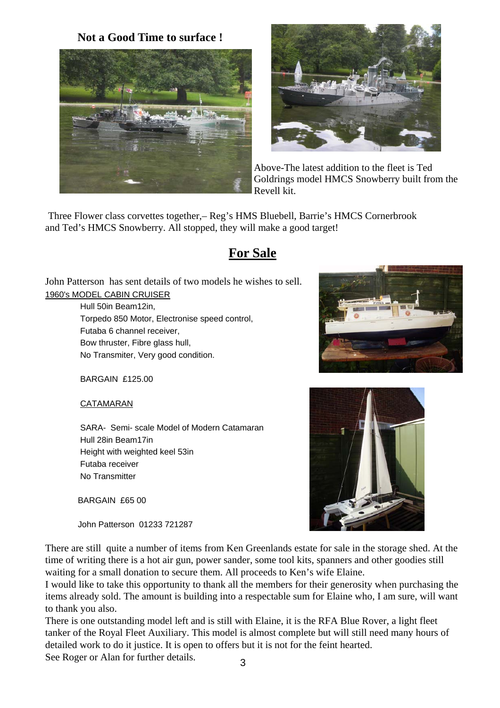**Not a Good Time to surface !**





Above-The latest addition to the fleet is Ted Goldrings model HMCS Snowberry built from the Revell kit.

Three Flower class corvettes together,– Reg's HMS Bluebell, Barrie's HMCS Cornerbrook and Ted's HMCS Snowberry. All stopped, they will make a good target!

# **For Sale**

John Patterson has sent details of two models he wishes to sell. 1960's MODEL CABIN CRUISER

> Hull 50in Beam12in, Torpedo 850 Motor, Electronise speed control, Futaba 6 channel receiver, Bow thruster, Fibre glass hull, No Transmiter, Very good condition.

BARGAIN £125.00

CATAMARAN

 SARA- Semi- scale Model of Modern Catamaran Hull 28in Beam17in Height with weighted keel 53in Futaba receiver No Transmitter

BARGAIN £65 00

John Patterson 01233 721287

There are still quite a number of items from Ken Greenlands estate for sale in the storage shed. At the time of writing there is a hot air gun, power sander, some tool kits, spanners and other goodies still waiting for a small donation to secure them. All proceeds to Ken's wife Elaine.

I would like to take this opportunity to thank all the members for their generosity when purchasing the items already sold. The amount is building into a respectable sum for Elaine who, I am sure, will want to thank you also.

There is one outstanding model left and is still with Elaine, it is the RFA Blue Rover, a light fleet tanker of the Royal Fleet Auxiliary. This model is almost complete but will still need many hours of detailed work to do it justice. It is open to offers but it is not for the feint hearted.

See Roger or Alan for further details.



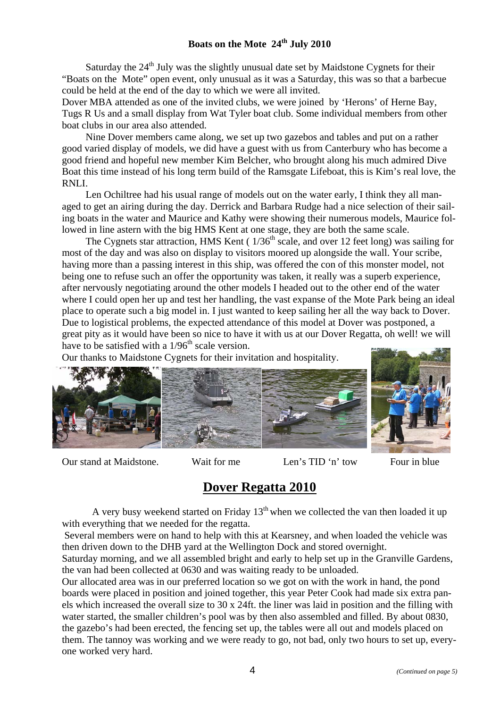Saturday the  $24<sup>th</sup>$  July was the slightly unusual date set by Maidstone Cygnets for their "Boats on the Mote" open event, only unusual as it was a Saturday, this was so that a barbecue could be held at the end of the day to which we were all invited.

Dover MBA attended as one of the invited clubs, we were joined by 'Herons' of Herne Bay, Tugs R Us and a small display from Wat Tyler boat club. Some individual members from other boat clubs in our area also attended.

 Nine Dover members came along, we set up two gazebos and tables and put on a rather good varied display of models, we did have a guest with us from Canterbury who has become a good friend and hopeful new member Kim Belcher, who brought along his much admired Dive Boat this time instead of his long term build of the Ramsgate Lifeboat, this is Kim's real love, the RNLI.

 Len Ochiltree had his usual range of models out on the water early, I think they all managed to get an airing during the day. Derrick and Barbara Rudge had a nice selection of their sailing boats in the water and Maurice and Kathy were showing their numerous models, Maurice followed in line astern with the big HMS Kent at one stage, they are both the same scale.

The Cygnets star attraction, HMS Kent ( $1/36<sup>th</sup>$  scale, and over 12 feet long) was sailing for most of the day and was also on display to visitors moored up alongside the wall. Your scribe, having more than a passing interest in this ship, was offered the con of this monster model, not being one to refuse such an offer the opportunity was taken, it really was a superb experience, after nervously negotiating around the other models I headed out to the other end of the water where I could open her up and test her handling, the vast expanse of the Mote Park being an ideal place to operate such a big model in. I just wanted to keep sailing her all the way back to Dover. Due to logistical problems, the expected attendance of this model at Dover was postponed, a great pity as it would have been so nice to have it with us at our Dover Regatta, oh well! we will have to be satisfied with a  $1/96<sup>th</sup>$  scale version.

Our thanks to Maidstone Cygnets for their invitation and hospitality.



Our stand at Maidstone. Wait for me Len's TID 'n' tow Four in blue

# **Dover Regatta 2010**

A very busy weekend started on Friday  $13<sup>th</sup>$  when we collected the van then loaded it up with everything that we needed for the regatta.

 Several members were on hand to help with this at Kearsney, and when loaded the vehicle was then driven down to the DHB yard at the Wellington Dock and stored overnight.

Saturday morning, and we all assembled bright and early to help set up in the Granville Gardens, the van had been collected at 0630 and was waiting ready to be unloaded.

Our allocated area was in our preferred location so we got on with the work in hand, the pond boards were placed in position and joined together, this year Peter Cook had made six extra panels which increased the overall size to 30 x 24ft. the liner was laid in position and the filling with water started, the smaller children's pool was by then also assembled and filled. By about 0830, the gazebo's had been erected, the fencing set up, the tables were all out and models placed on them. The tannoy was working and we were ready to go, not bad, only two hours to set up, everyone worked very hard.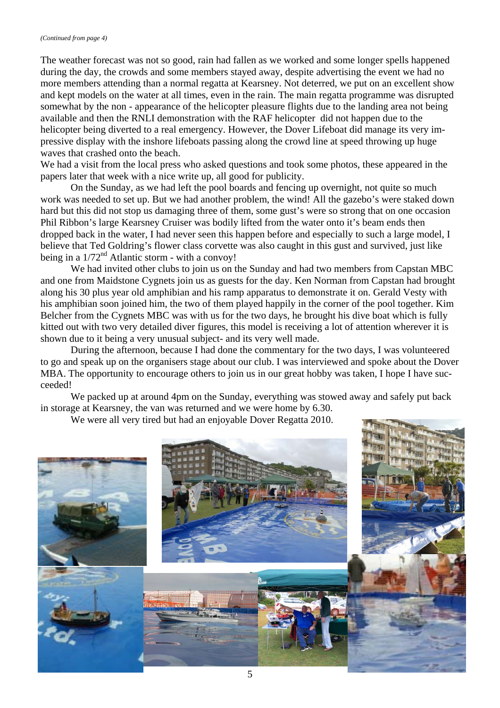The weather forecast was not so good, rain had fallen as we worked and some longer spells happened during the day, the crowds and some members stayed away, despite advertising the event we had no more members attending than a normal regatta at Kearsney. Not deterred, we put on an excellent show and kept models on the water at all times, even in the rain. The main regatta programme was disrupted somewhat by the non - appearance of the helicopter pleasure flights due to the landing area not being available and then the RNLI demonstration with the RAF helicopter did not happen due to the helicopter being diverted to a real emergency. However, the Dover Lifeboat did manage its very impressive display with the inshore lifeboats passing along the crowd line at speed throwing up huge waves that crashed onto the beach.

We had a visit from the local press who asked questions and took some photos, these appeared in the papers later that week with a nice write up, all good for publicity.

On the Sunday, as we had left the pool boards and fencing up overnight, not quite so much work was needed to set up. But we had another problem, the wind! All the gazebo's were staked down hard but this did not stop us damaging three of them, some gust's were so strong that on one occasion Phil Ribbon's large Kearsney Cruiser was bodily lifted from the water onto it's beam ends then dropped back in the water, I had never seen this happen before and especially to such a large model, I believe that Ted Goldring's flower class corvette was also caught in this gust and survived, just like being in a  $1/72<sup>nd</sup>$  Atlantic storm - with a convoy!

We had invited other clubs to join us on the Sunday and had two members from Capstan MBC and one from Maidstone Cygnets join us as guests for the day. Ken Norman from Capstan had brought along his 30 plus year old amphibian and his ramp apparatus to demonstrate it on. Gerald Vesty with his amphibian soon joined him, the two of them played happily in the corner of the pool together. Kim Belcher from the Cygnets MBC was with us for the two days, he brought his dive boat which is fully kitted out with two very detailed diver figures, this model is receiving a lot of attention wherever it is shown due to it being a very unusual subject- and its very well made.

During the afternoon, because I had done the commentary for the two days, I was volunteered to go and speak up on the organisers stage about our club. I was interviewed and spoke about the Dover MBA. The opportunity to encourage others to join us in our great hobby was taken, I hope I have succeeded!

We packed up at around 4pm on the Sunday, everything was stowed away and safely put back in storage at Kearsney, the van was returned and we were home by 6.30.

We were all very tired but had an enjoyable Dover Regatta 2010.

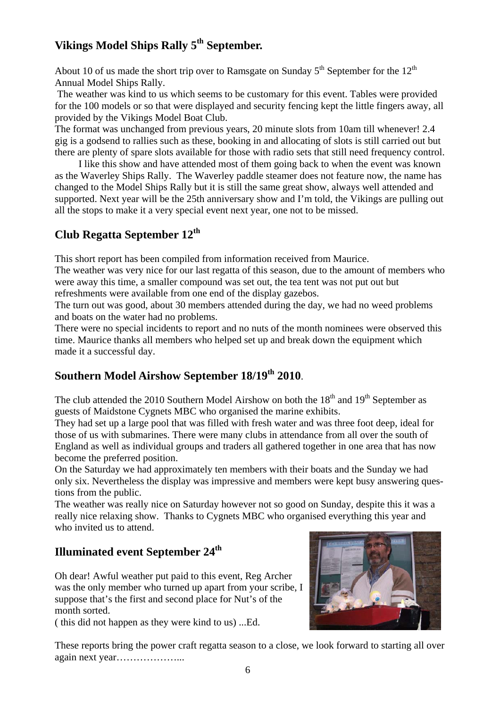## **Vikings Model Ships Rally 5th September.**

About 10 of us made the short trip over to Ramsgate on Sunday  $5<sup>th</sup>$  September for the  $12<sup>th</sup>$ Annual Model Ships Rally.

 The weather was kind to us which seems to be customary for this event. Tables were provided for the 100 models or so that were displayed and security fencing kept the little fingers away, all provided by the Vikings Model Boat Club.

The format was unchanged from previous years, 20 minute slots from 10am till whenever! 2.4 gig is a godsend to rallies such as these, booking in and allocating of slots is still carried out but there are plenty of spare slots available for those with radio sets that still need frequency control.

 I like this show and have attended most of them going back to when the event was known as the Waverley Ships Rally. The Waverley paddle steamer does not feature now, the name has changed to the Model Ships Rally but it is still the same great show, always well attended and supported. Next year will be the 25th anniversary show and I'm told, the Vikings are pulling out all the stops to make it a very special event next year, one not to be missed.

## **Club Regatta September 12th**

This short report has been compiled from information received from Maurice.

The weather was very nice for our last regatta of this season, due to the amount of members who were away this time, a smaller compound was set out, the tea tent was not put out but refreshments were available from one end of the display gazebos.

The turn out was good, about 30 members attended during the day, we had no weed problems and boats on the water had no problems.

There were no special incidents to report and no nuts of the month nominees were observed this time. Maurice thanks all members who helped set up and break down the equipment which made it a successful day.

## **Southern Model Airshow September 18/19th 2010**.

The club attended the 2010 Southern Model Airshow on both the  $18<sup>th</sup>$  and  $19<sup>th</sup>$  September as guests of Maidstone Cygnets MBC who organised the marine exhibits.

They had set up a large pool that was filled with fresh water and was three foot deep, ideal for those of us with submarines. There were many clubs in attendance from all over the south of England as well as individual groups and traders all gathered together in one area that has now become the preferred position.

On the Saturday we had approximately ten members with their boats and the Sunday we had only six. Nevertheless the display was impressive and members were kept busy answering questions from the public.

The weather was really nice on Saturday however not so good on Sunday, despite this it was a really nice relaxing show. Thanks to Cygnets MBC who organised everything this year and who invited us to attend.

## **Illuminated event September 24<sup>th</sup>**

Oh dear! Awful weather put paid to this event, Reg Archer was the only member who turned up apart from your scribe, I suppose that's the first and second place for Nut's of the month sorted.

( this did not happen as they were kind to us) ...Ed.



These reports bring the power craft regatta season to a close, we look forward to starting all over again next year………………...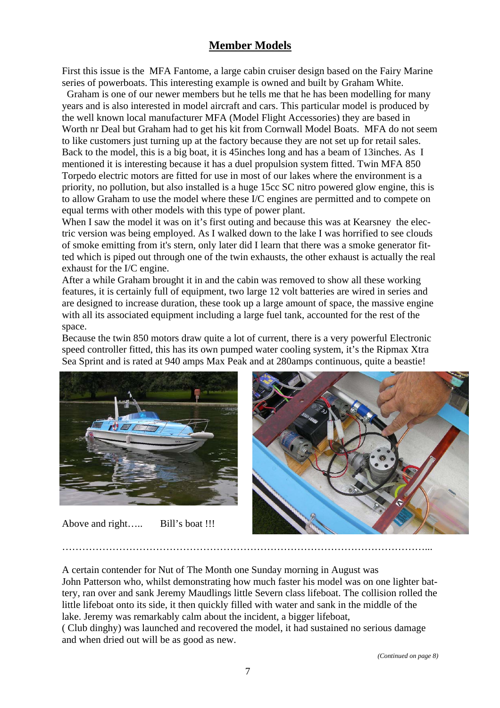## **Member Models**

First this issue is the MFA Fantome, a large cabin cruiser design based on the Fairy Marine series of powerboats. This interesting example is owned and built by Graham White.

 Graham is one of our newer members but he tells me that he has been modelling for many years and is also interested in model aircraft and cars. This particular model is produced by the well known local manufacturer MFA (Model Flight Accessories) they are based in Worth nr Deal but Graham had to get his kit from Cornwall Model Boats. MFA do not seem to like customers just turning up at the factory because they are not set up for retail sales. Back to the model, this is a big boat, it is 45inches long and has a beam of 13inches. As I mentioned it is interesting because it has a duel propulsion system fitted. Twin MFA 850 Torpedo electric motors are fitted for use in most of our lakes where the environment is a priority, no pollution, but also installed is a huge 15cc SC nitro powered glow engine, this is to allow Graham to use the model where these I/C engines are permitted and to compete on equal terms with other models with this type of power plant.

When I saw the model it was on it's first outing and because this was at Kearsney the electric version was being employed. As I walked down to the lake I was horrified to see clouds of smoke emitting from it's stern, only later did I learn that there was a smoke generator fitted which is piped out through one of the twin exhausts, the other exhaust is actually the real exhaust for the I/C engine.

After a while Graham brought it in and the cabin was removed to show all these working features, it is certainly full of equipment, two large 12 volt batteries are wired in series and are designed to increase duration, these took up a large amount of space, the massive engine with all its associated equipment including a large fuel tank, accounted for the rest of the space.

Because the twin 850 motors draw quite a lot of current, there is a very powerful Electronic speed controller fitted, this has its own pumped water cooling system, it's the Ripmax Xtra Sea Sprint and is rated at 940 amps Max Peak and at 280amps continuous, quite a beastie!



Above and right….. Bill's boat !!!



………………………………………………………………………………………………...

A certain contender for Nut of The Month one Sunday morning in August was John Patterson who, whilst demonstrating how much faster his model was on one lighter battery, ran over and sank Jeremy Maudlings little Severn class lifeboat. The collision rolled the little lifeboat onto its side, it then quickly filled with water and sank in the middle of the lake. Jeremy was remarkably calm about the incident, a bigger lifeboat,

( Club dinghy) was launched and recovered the model, it had sustained no serious damage and when dried out will be as good as new.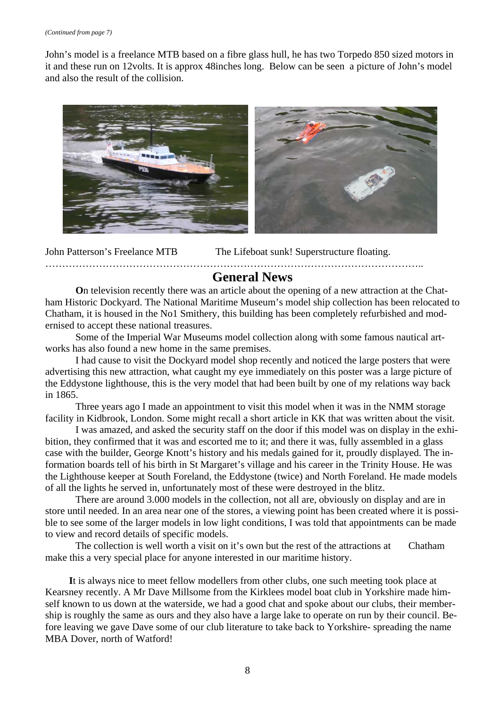John's model is a freelance MTB based on a fibre glass hull, he has two Torpedo 850 sized motors in it and these run on 12volts. It is approx 48inches long. Below can be seen a picture of John's model and also the result of the collision.



John Patterson's Freelance MTB The Lifeboat sunk! Superstructure floating.

### **General News**

…………………………………………………………………………………………………..

**O**n television recently there was an article about the opening of a new attraction at the Chatham Historic Dockyard. The National Maritime Museum's model ship collection has been relocated to Chatham, it is housed in the No1 Smithery, this building has been completely refurbished and modernised to accept these national treasures.

Some of the Imperial War Museums model collection along with some famous nautical artworks has also found a new home in the same premises.

I had cause to visit the Dockyard model shop recently and noticed the large posters that were advertising this new attraction, what caught my eye immediately on this poster was a large picture of the Eddystone lighthouse, this is the very model that had been built by one of my relations way back in 1865.

Three years ago I made an appointment to visit this model when it was in the NMM storage facility in Kidbrook, London. Some might recall a short article in KK that was written about the visit.

I was amazed, and asked the security staff on the door if this model was on display in the exhibition, they confirmed that it was and escorted me to it; and there it was, fully assembled in a glass case with the builder, George Knott's history and his medals gained for it, proudly displayed. The information boards tell of his birth in St Margaret's village and his career in the Trinity House. He was the Lighthouse keeper at South Foreland, the Eddystone (twice) and North Foreland. He made models of all the lights he served in, unfortunately most of these were destroyed in the blitz.

There are around 3.000 models in the collection, not all are, obviously on display and are in store until needed. In an area near one of the stores, a viewing point has been created where it is possible to see some of the larger models in low light conditions, I was told that appointments can be made to view and record details of specific models.

The collection is well worth a visit on it's own but the rest of the attractions at Chatham make this a very special place for anyone interested in our maritime history.

**I**t is always nice to meet fellow modellers from other clubs, one such meeting took place at Kearsney recently. A Mr Dave Millsome from the Kirklees model boat club in Yorkshire made himself known to us down at the waterside, we had a good chat and spoke about our clubs, their membership is roughly the same as ours and they also have a large lake to operate on run by their council. Before leaving we gave Dave some of our club literature to take back to Yorkshire- spreading the name MBA Dover, north of Watford!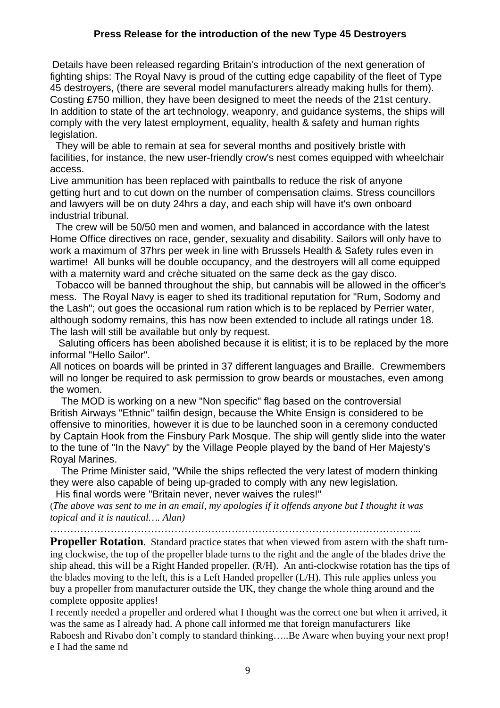## **Press Release for the introduction of the new Type 45 Destroyers**

Details have been released regarding Britain's introduction of the next generation of fighting ships: The Royal Navy is proud of the cutting edge capability of the fleet of Type 45 destroyers, (there are several model manufacturers already making hulls for them). Costing £750 million, they have been designed to meet the needs of the 21st century. In addition to state of the art technology, weaponry, and guidance systems, the ships will comply with the very latest employment, equality, health & safety and human rights legislation.

 They will be able to remain at sea for several months and positively bristle with facilities, for instance, the new user-friendly crow's nest comes equipped with wheelchair access.

Live ammunition has been replaced with paintballs to reduce the risk of anyone getting hurt and to cut down on the number of compensation claims. Stress councillors and lawyers will be on duty 24hrs a day, and each ship will have it's own onboard industrial tribunal.

 The crew will be 50/50 men and women, and balanced in accordance with the latest Home Office directives on race, gender, sexuality and disability. Sailors will only have to work a maximum of 37hrs per week in line with Brussels Health & Safety rules even in wartime! All bunks will be double occupancy, and the destroyers will all come equipped with a maternity ward and crèche situated on the same deck as the gay disco.

 Tobacco will be banned throughout the ship, but cannabis will be allowed in the officer's mess. The Royal Navy is eager to shed its traditional reputation for "Rum, Sodomy and the Lash"; out goes the occasional rum ration which is to be replaced by Perrier water, although sodomy remains, this has now been extended to include all ratings under 18. The lash will still be available but only by request.

 Saluting officers has been abolished because it is elitist; it is to be replaced by the more informal "Hello Sailor".

All notices on boards will be printed in 37 different languages and Braille. Crewmembers will no longer be required to ask permission to grow beards or moustaches, even among the women.

 The MOD is working on a new "Non specific" flag based on the controversial British Airways "Ethnic" tailfin design, because the White Ensign is considered to be offensive to minorities, however it is due to be launched soon in a ceremony conducted by Captain Hook from the Finsbury Park Mosque. The ship will gently slide into the water to the tune of "In the Navy" by the Village People played by the band of Her Majesty's Royal Marines.

 The Prime Minister said, "While the ships reflected the very latest of modern thinking they were also capable of being up-graded to comply with any new legislation.

His final words were "Britain never, never waives the rules!"

(*The above was sent to me in an email, my apologies if it offends anyone but I thought it was topical and it is nautical…. Alan)* 

………………………………………………………………………………………………...

**Propeller Rotation.** Standard practice states that when viewed from astern with the shaft turning clockwise, the top of the propeller blade turns to the right and the angle of the blades drive the ship ahead, this will be a Right Handed propeller. (R/H). An anti-clockwise rotation has the tips of the blades moving to the left, this is a Left Handed propeller (L/H). This rule applies unless you buy a propeller from manufacturer outside the UK, they change the whole thing around and the complete opposite applies!

I recently needed a propeller and ordered what I thought was the correct one but when it arrived, it was the same as I already had. A phone call informed me that foreign manufacturers like Raboesh and Rivabo don't comply to standard thinking…..Be Aware when buying your next prop! e I had the same nd